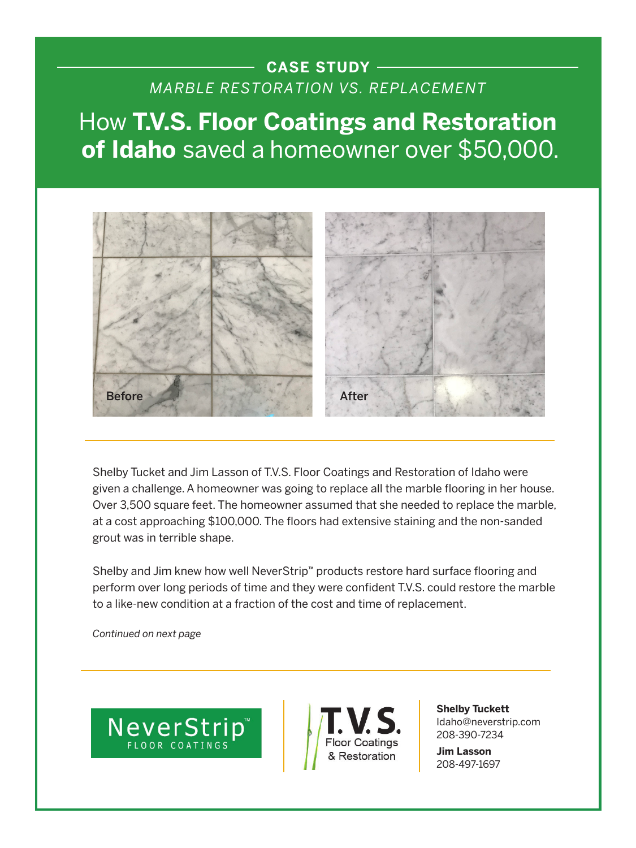## **CASE STUDY**  *MARBLE RESTORATION VS. REPLACEMENT*

How **T.V.S. Floor Coatings and Restoration of Idaho** saved a homeowner over \$50,000.



Shelby Tucket and Jim Lasson of T.V.S. Floor Coatings and Restoration of Idaho were given a challenge. A homeowner was going to replace all the marble flooring in her house. Over 3,500 square feet. The homeowner assumed that she needed to replace the marble, at a cost approaching \$100,000. The floors had extensive staining and the non-sanded grout was in terrible shape.

Shelby and Jim knew how well NeverStrip™ products restore hard surface flooring and perform over long periods of time and they were confident T.V.S. could restore the marble to a like-new condition at a fraction of the cost and time of replacement.

*Continued on next page*





**Shelby Tuckett** Idaho@neverstrip.com 208-390-7234

**Jim Lasson** 208-497-1697